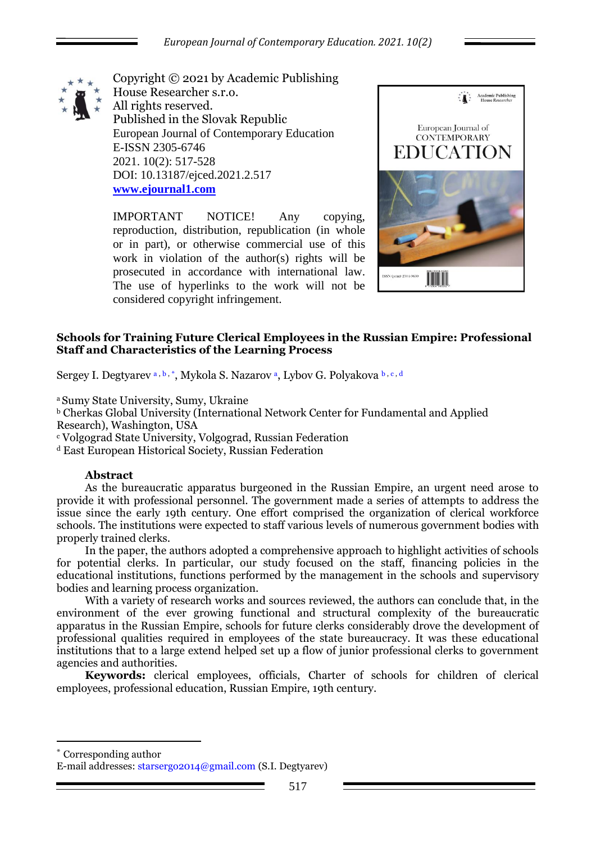

Copyright © 2021 by Academic Publishing House Researcher s.r.o. All rights reserved. Published in the Slovak Republic European Journal of Contemporary Education E-ISSN 2305-6746 2021. 10(2): 517-528 DOI: 10.13187/ejced.2021.2.517 **[www.ejournal1.com](http://www.ejournal1.com/)**

IMPORTANT NOTICE! Any copying, reproduction, distribution, republication (in whole or in part), or otherwise commercial use of this work in violation of the author(s) rights will be prosecuted in accordance with international law. The use of hyperlinks to the work will not be considered copyright infringement.



# **Schools for Training Future Clerical Employees in the Russian Empire: Professional Staff and Characteristics of the Learning Process**

Sergey I. Degtyarev a, b, \*, Mykola S. Nazarov <sup>a</sup>, Lybov G. Polyakova b, c, d

<sup>a</sup>Sumy State University, Sumy, Ukraine

<sup>b</sup> Cherkas Global University (International Network Center for Fundamental and Applied Research), Washington, USA

<sup>c</sup> Volgograd State University, Volgograd, Russian Federation

<sup>d</sup> East European Historical Society, Russian Federation

# **Abstract**

As the bureaucratic apparatus burgeoned in the Russian Empire, an urgent need arose to provide it with professional personnel. The government made a series of attempts to address the issue since the early 19th century. One effort comprised the organization of clerical workforce schools. The institutions were expected to staff various levels of numerous government bodies with properly trained clerks.

In the paper, the authors adopted a comprehensive approach to highlight activities of schools for potential clerks. In particular, our study focused on the staff, financing policies in the educational institutions, functions performed by the management in the schools and supervisory bodies and learning process organization.

With a variety of research works and sources reviewed, the authors can conclude that, in the environment of the ever growing functional and structural complexity of the bureaucratic apparatus in the Russian Empire, schools for future clerks considerably drove the development of professional qualities required in employees of the state bureaucracy. It was these educational institutions that to a large extend helped set up a flow of junior professional clerks to government agencies and authorities.

**Keywords:** clerical employees, officials, Charter of schools for children of clerical employees, professional education, Russian Empire, 19th century.

Corresponding author

1

E-mail addresses: starsergo2014@gmail.com (S.I. Degtyarev)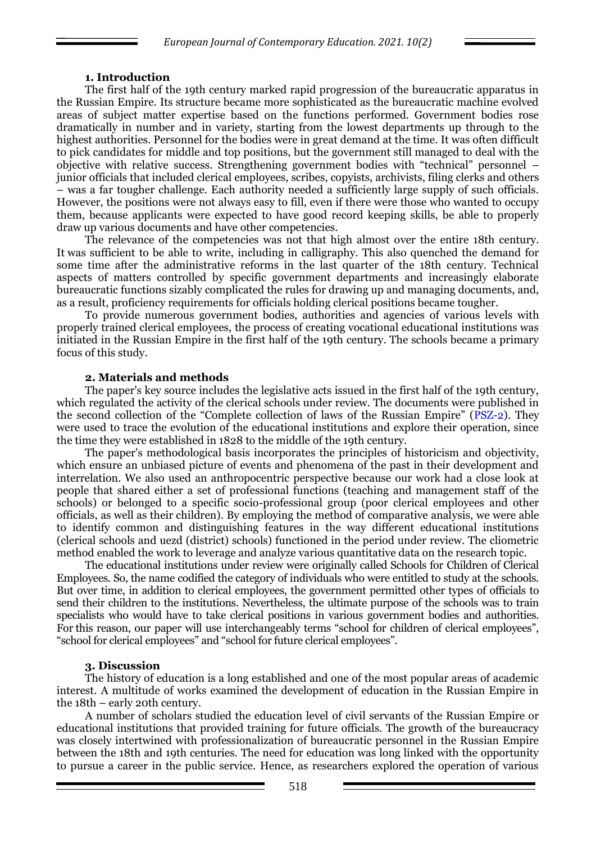### **1. Introduction**

The first half of the 19th century marked rapid progression of the bureaucratic apparatus in the Russian Empire. Its structure became more sophisticated as the bureaucratic machine evolved areas of subject matter expertise based on the functions performed. Government bodies rose dramatically in number and in variety, starting from the lowest departments up through to the highest authorities. Personnel for the bodies were in great demand at the time. It was often difficult to pick candidates for middle and top positions, but the government still managed to deal with the objective with relative success. Strengthening government bodies with "technical" personnel – junior officials that included clerical employees, scribes, copyists, archivists, filing clerks and others – was a far tougher challenge. Each authority needed a sufficiently large supply of such officials. However, the positions were not always easy to fill, even if there were those who wanted to occupy them, because applicants were expected to have good record keeping skills, be able to properly draw up various documents and have other competencies.

The relevance of the competencies was not that high almost over the entire 18th century. It was sufficient to be able to write, including in calligraphy. This also quenched the demand for some time after the administrative reforms in the last quarter of the 18th century. Technical aspects of matters controlled by specific government departments and increasingly elaborate bureaucratic functions sizably complicated the rules for drawing up and managing documents, and, as a result, proficiency requirements for officials holding clerical positions became tougher.

To provide numerous government bodies, authorities and agencies of various levels with properly trained clerical employees, the process of creating vocational educational institutions was initiated in the Russian Empire in the first half of the 19th century. The schools became a primary focus of this study.

#### **2. Materials and methods**

The paper's key source includes the legislative acts issued in the first half of the 19th century, which regulated the activity of the clerical schools under review. The documents were published in the second collection of the "Complete collection of laws of the Russian Empire" (PSZ-2). They were used to trace the evolution of the educational institutions and explore their operation, since the time they were established in 1828 to the middle of the 19th century.

The paper's methodological basis incorporates the principles of historicism and objectivity, which ensure an unbiased picture of events and phenomena of the past in their development and interrelation. We also used an anthropocentric perspective because our work had a close look at people that shared either a set of professional functions (teaching and management staff of the schools) or belonged to a specific socio-professional group (poor clerical employees and other officials, as well as their children). By employing the method of comparative analysis, we were able to identify common and distinguishing features in the way different educational institutions (clerical schools and uezd (district) schools) functioned in the period under review. The cliometric method enabled the work to leverage and analyze various quantitative data on the research topic.

The educational institutions under review were originally called Schools for Children of Clerical Employees. So, the name codified the category of individuals who were entitled to study at the schools. But over time, in addition to clerical employees, the government permitted other types of officials to send their children to the institutions. Nevertheless, the ultimate purpose of the schools was to train specialists who would have to take clerical positions in various government bodies and authorities. For this reason, our paper will use interchangeably terms "school for children of clerical employees", "school for clerical employees" and "school for future clerical employees".

#### **3. Discussion**

The history of education is a long established and one of the most popular areas of academic interest. A multitude of works examined the development of education in the Russian Empire in the 18th – early 20th century.

A number of scholars studied the education level of civil servants of the Russian Empire or educational institutions that provided training for future officials. The growth of the bureaucracy was closely intertwined with professionalization of bureaucratic personnel in the Russian Empire between the 18th and 19th centuries. The need for education was long linked with the opportunity to pursue a career in the public service. Hence, as researchers explored the operation of various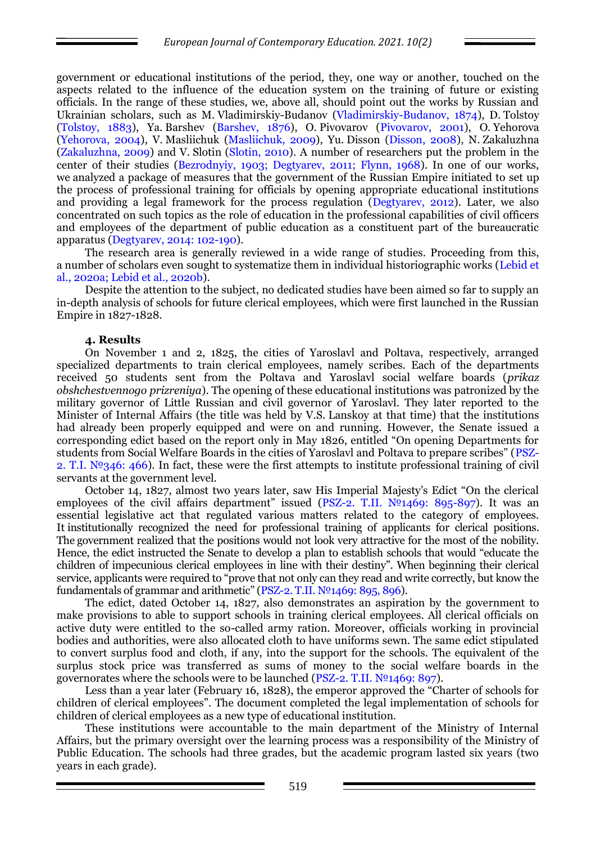government or educational institutions of the period, they, one way or another, touched on the aspects related to the influence of the education system on the training of future or existing officials. In the range of these studies, we, above all, should point out the works by Russian and Ukrainian scholars, such as M. Vladimirskiy-Budanov (Vladimirskiy-Budanov, 1874), D. Tolstoy (Tolstoy, 1883), Ya. Barshev (Barshev, 1876), O. Pivovarov (Pivovarov, 2001), O. Yehorova (Yehorova, 2004), V. Masliichuk (Masliichuk, 2009), Yu. Disson (Disson, 2008), N. Zakaluzhna (Zakaluzhna, 2009) and V. Slotin (Slotin, 2010). A number of researchers put the problem in the center of their studies (Bezrodnyiy, 1903; Degtyarev, 2011; Flynn, 1968). In one of our works, we analyzed a package of measures that the government of the Russian Empire initiated to set up the process of professional training for officials by opening appropriate educational institutions and providing a legal framework for the process regulation (Degtyarev, 2012). Later, we also concentrated on such topics as the role of education in the professional capabilities of civil officers and employees of the department of public education as a constituent part of the bureaucratic apparatus (Degtyarev, 2014: 102-190).

The research area is generally reviewed in a wide range of studies. Proceeding from this, a number of scholars even sought to systematize them in individual historiographic works (Lebid et al., 2020a; Lebid et al., 2020b).

Despite the attention to the subject, no dedicated studies have been aimed so far to supply an in-depth analysis of schools for future clerical employees, which were first launched in the Russian Empire in 1827-1828.

#### **4. Results**

On November 1 and 2, 1825, the cities of Yaroslavl and Poltava, respectively, arranged specialized departments to train clerical employees, namely scribes. Each of the departments received 50 students sent from the Poltava and Yaroslavl social welfare boards (*prikaz obshchestvennogo prizreniya*). The opening of these educational institutions was patronized by the military governor of Little Russian and civil governor of Yaroslavl. They later reported to the Minister of Internal Affairs (the title was held by V.S. Lanskoy at that time) that the institutions had already been properly equipped and were on and running. However, the Senate issued a corresponding edict based on the report only in May 1826, entitled "On opening Departments for students from Social Welfare Boards in the cities of Yaroslavl and Poltava to prepare scribes" (PSZ-2. T.I.  $N<sup>0</sup>346$ : 466). In fact, these were the first attempts to institute professional training of civil servants at the government level.

October 14, 1827, almost two years later, saw His Imperial Majesty's Edict "On the clerical employees of the civil affairs department" issued (PSZ-2. T.II.  $N<sup>0</sup>1469$ : 895-897). It was an essential legislative act that regulated various matters related to the category of employees. It institutionally recognized the need for professional training of applicants for clerical positions. The government realized that the positions would not look very attractive for the most of the nobility. Hence, the edict instructed the Senate to develop a plan to establish schools that would "educate the children of impecunious clerical employees in line with their destiny". When beginning their clerical service, applicants were required to "prove that not only can they read and write correctly, but know the fundamentals of grammar and arithmetic" (PSZ-2. T.II. №1469: 895, 896).

The edict, dated October 14, 1827, also demonstrates an aspiration by the government to make provisions to able to support schools in training clerical employees. All clerical officials on active duty were entitled to the so-called army ration. Moreover, officials working in provincial bodies and authorities, were also allocated cloth to have uniforms sewn. The same edict stipulated to convert surplus food and cloth, if any, into the support for the schools. The equivalent of the surplus stock price was transferred as sums of money to the social welfare boards in the governorates where the schools were to be launched (PSZ-2. T.II. №1469: 897).

Less than a year later (February 16, 1828), the emperor approved the "Charter of schools for children of clerical employees". The document completed the legal implementation of schools for children of clerical employees as a new type of educational institution.

These institutions were accountable to the main department of the Ministry of Internal Affairs, but the primary oversight over the learning process was a responsibility of the Ministry of Public Education. The schools had three grades, but the academic program lasted six years (two years in each grade).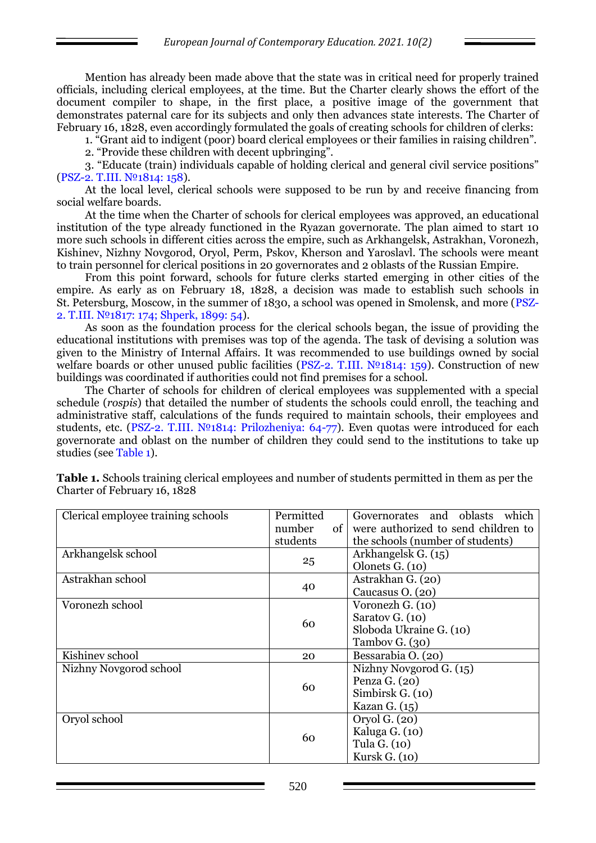Mention has already been made above that the state was in critical need for properly trained officials, including clerical employees, at the time. But the Charter clearly shows the effort of the document compiler to shape, in the first place, a positive image of the government that demonstrates paternal care for its subjects and only then advances state interests. The Charter of February 16, 1828, even accordingly formulated the goals of creating schools for children of clerks:

1. "Grant aid to indigent (poor) board clerical employees or their families in raising children".

2. "Provide these children with decent upbringing".

3. "Educate (train) individuals capable of holding clerical and general civil service positions" (PSZ-2. Т.III. №1814: 158).

At the local level, clerical schools were supposed to be run by and receive financing from social welfare boards.

At the time when the Charter of schools for clerical employees was approved, an educational institution of the type already functioned in the Ryazan governorate. The plan aimed to start 10 more such schools in different cities across the empire, such as Arkhangelsk, Astrakhan, Voronezh, Kishinev, Nizhny Novgorod, Oryol, Perm, Pskov, Kherson and Yaroslavl. The schools were meant to train personnel for clerical positions in 20 governorates and 2 oblasts of the Russian Empire.

From this point forward, schools for future clerks started emerging in other cities of the empire. As early as on February 18, 1828, a decision was made to establish such schools in St. Petersburg, Moscow, in the summer of 1830, a school was opened in Smolensk, and more (PSZ-2. Т.III. №1817: 174; Shperk, 1899: 54).

As soon as the foundation process for the clerical schools began, the issue of providing the educational institutions with premises was top of the agenda. The task of devising a solution was given to the Ministry of Internal Affairs. It was recommended to use buildings owned by social welfare boards or other unused public facilities (PSZ-2. T.III.  $N<sup>0</sup>1814$ : 159). Construction of new buildings was coordinated if authorities could not find premises for a school.

The Charter of schools for children of clerical employees was supplemented with a special schedule (*rospis*) that detailed the number of students the schools could enroll, the teaching and administrative staff, calculations of the funds required to maintain schools, their employees and students, etc. (PSZ-2. T.III. №1814: Prilozheniya: 64-77). Even quotas were introduced for each governorate and oblast on the number of children they could send to the institutions to take up studies (see Table 1).

| Clerical employee training schools | Permitted      | Governorates and oblasts which      |  |  |
|------------------------------------|----------------|-------------------------------------|--|--|
|                                    | of 1<br>number | were authorized to send children to |  |  |
|                                    | students       | the schools (number of students)    |  |  |
| Arkhangelsk school                 |                | Arkhangelsk G. (15)                 |  |  |
|                                    | 25             | Olonets G. (10)                     |  |  |
| Astrakhan school                   |                | Astrakhan G. (20)                   |  |  |
|                                    | 40             | Caucasus O. (20)                    |  |  |
| Voronezh school                    |                | Voronezh G. (10)                    |  |  |
|                                    | 60             | Saratov G. (10)                     |  |  |
|                                    |                | Sloboda Ukraine G. (10)             |  |  |
|                                    |                | Tambov G. $(30)$                    |  |  |
| Kishinev school                    | 20             | Bessarabia O. (20)                  |  |  |
| Nizhny Novgorod school             |                | Nizhny Novgorod G. (15)             |  |  |
|                                    | 60             | Penza $G. (20)$                     |  |  |
|                                    |                | Simbirsk G. (10)                    |  |  |
|                                    |                | Kazan G. $(15)$                     |  |  |
| Oryol school                       |                | Oryol G. (20)                       |  |  |
|                                    | 60             | Kaluga G. (10)                      |  |  |
|                                    |                | Tula G. (10)                        |  |  |
|                                    |                | Kursk G. (10)                       |  |  |

**Table 1.** Schools training clerical employees and number of students permitted in them as per the Charter of February 16, 1828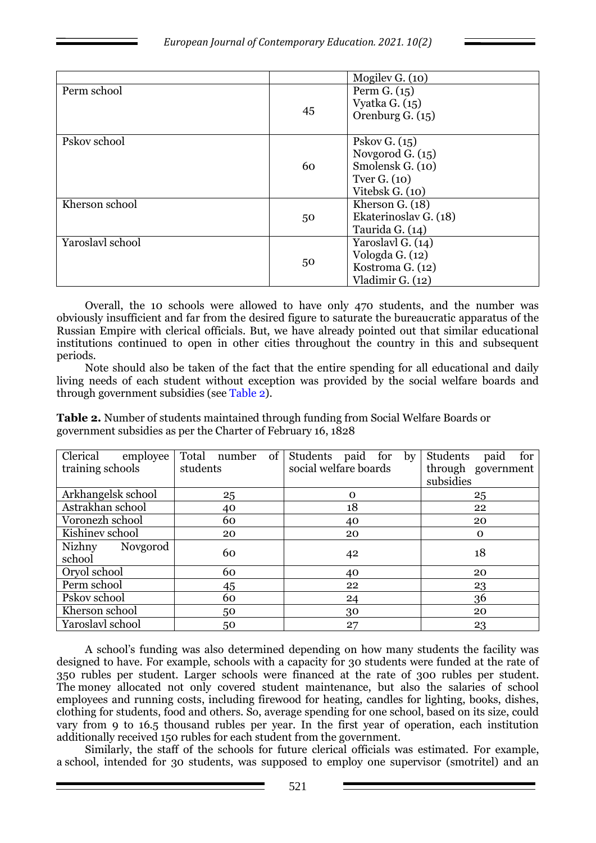|                  |    | Mogilev G. (10)       |
|------------------|----|-----------------------|
| Perm school      |    | Perm $G. (15)$        |
|                  |    | Vyatka G. $(15)$      |
|                  | 45 |                       |
|                  |    | Orenburg G. (15)      |
|                  |    |                       |
| Pskov school     |    | Pskov G. $(15)$       |
|                  |    | Novgorod G. $(15)$    |
|                  | 60 | Smolensk G. (10)      |
|                  |    | Tver G. $(10)$        |
|                  |    | Vitebsk G. (10)       |
| Kherson school   |    | Kherson G. (18)       |
|                  | 50 | Ekaterinoslav G. (18) |
|                  |    | Taurida G. (14)       |
| Yaroslavl school |    | Yaroslavl G. (14)     |
|                  |    | Vologda G. (12)       |
|                  | 50 | Kostroma G. (12)      |
|                  |    | Vladimir G. (12)      |

Overall, the 10 schools were allowed to have only 470 students, and the number was obviously insufficient and far from the desired figure to saturate the bureaucratic apparatus of the Russian Empire with clerical officials. But, we have already pointed out that similar educational institutions continued to open in other cities throughout the country in this and subsequent periods.

Note should also be taken of the fact that the entire spending for all educational and daily living needs of each student without exception was provided by the social welfare boards and through government subsidies (see Table 2).

**Table 2.** Number of students maintained through funding from Social Welfare Boards or government subsidies as per the Charter of February 16, 1828

| Clerical<br>employee<br>training schools | of<br>Total number<br>students | Students paid for by<br>social welfare boards | Students<br>paid<br>for<br>through government |
|------------------------------------------|--------------------------------|-----------------------------------------------|-----------------------------------------------|
|                                          |                                |                                               | subsidies                                     |
| Arkhangelsk school                       | 25                             | $\mathbf 0$                                   | 25                                            |
| Astrakhan school                         | 40                             | 18                                            | 22                                            |
| Voronezh school                          | 60                             | 40                                            | 20                                            |
| Kishinev school                          | 20                             | 20                                            | O                                             |
| Nizhny<br>Novgorod<br>school             | 60                             | 42                                            | 18                                            |
| Oryol school                             | 60                             | 40                                            | 20                                            |
| Perm school                              | 45                             | 22                                            | 23                                            |
| Pskov school                             | 60                             | 24                                            | 36                                            |
| Kherson school                           | 50                             | 30                                            | 20                                            |
| Yaroslavl school                         | 50                             | 27                                            | 23                                            |

A school's funding was also determined depending on how many students the facility was designed to have. For example, schools with a capacity for 30 students were funded at the rate of 350 rubles per student. Larger schools were financed at the rate of 300 rubles per student. The money allocated not only covered student maintenance, but also the salaries of school employees and running costs, including firewood for heating, candles for lighting, books, dishes, clothing for students, food and others. So, average spending for one school, based on its size, could vary from 9 to 16.5 thousand rubles per year. In the first year of operation, each institution additionally received 150 rubles for each student from the government.

Similarly, the staff of the schools for future clerical officials was estimated. For example, a school, intended for 30 students, was supposed to employ one supervisor (smotritel) and an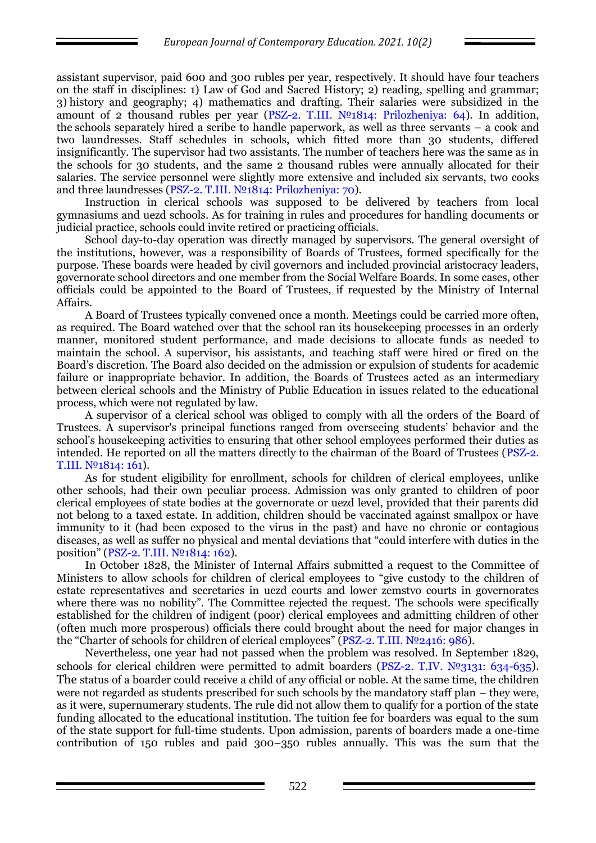assistant supervisor, paid 600 and 300 rubles per year, respectively. It should have four teachers on the staff in disciplines: 1) Law of God and Sacred History; 2) reading, spelling and grammar; 3) history and geography; 4) mathematics and drafting. Their salaries were subsidized in the amount of 2 thousand rubles per year (PSZ-2. Т.III. №1814: Prilozheniya: 64). In addition, the schools separately hired a scribe to handle paperwork, as well as three servants – a cook and two laundresses. Staff schedules in schools, which fitted more than 30 students, differed insignificantly. The supervisor had two assistants. The number of teachers here was the same as in the schools for 30 students, and the same 2 thousand rubles were annually allocated for their salaries. The service personnel were slightly more extensive and included six servants, two cooks and three laundresses (PSZ-2. Т.III. №1814: Prilozheniya: 70).

Instruction in clerical schools was supposed to be delivered by teachers from local gymnasiums and uezd schools. As for training in rules and procedures for handling documents or judicial practice, schools could invite retired or practicing officials.

School day-to-day operation was directly managed by supervisors. The general oversight of the institutions, however, was a responsibility of Boards of Trustees, formed specifically for the purpose. These boards were headed by civil governors and included provincial aristocracy leaders, governorate school directors and one member from the Social Welfare Boards. In some cases, other officials could be appointed to the Board of Trustees, if requested by the Ministry of Internal Affairs.

A Board of Trustees typically convened once a month. Meetings could be carried more often, as required. The Board watched over that the school ran its housekeeping processes in an orderly manner, monitored student performance, and made decisions to allocate funds as needed to maintain the school. A supervisor, his assistants, and teaching staff were hired or fired on the Board's discretion. The Board also decided on the admission or expulsion of students for academic failure or inappropriate behavior. In addition, the Boards of Trustees acted as an intermediary between clerical schools and the Ministry of Public Education in issues related to the educational process, which were not regulated by law.

A supervisor of a clerical school was obliged to comply with all the orders of the Board of Trustees. A supervisor's principal functions ranged from overseeing students' behavior and the school's housekeeping activities to ensuring that other school employees performed their duties as intended. He reported on all the matters directly to the chairman of the Board of Trustees (PSZ-2. Т.III. №1814: 161).

As for student eligibility for enrollment, schools for children of clerical employees, unlike other schools, had their own peculiar process. Admission was only granted to children of poor clerical employees of state bodies at the governorate or uezd level, provided that their parents did not belong to a taxed estate. In addition, children should be vaccinated against smallpox or have immunity to it (had been exposed to the virus in the past) and have no chronic or contagious diseases, as well as suffer no physical and mental deviations that "could interfere with duties in the position" (PSZ-2. Т.III. №1814: 162).

In October 1828, the Minister of Internal Affairs submitted a request to the Committee of Ministers to allow schools for children of clerical employees to "give custody to the children of estate representatives and secretaries in uezd courts and lower zemstvo courts in governorates where there was no nobility". The Committee rejected the request. The schools were specifically established for the children of indigent (poor) clerical employees and admitting children of other (often much more prosperous) officials there could brought about the need for major changes in the "Charter of schools for children of clerical employees" (PSZ-2. Т.III. №2416: 986).

Nevertheless, one year had not passed when the problem was resolved. In September 1829, schools for clerical children were permitted to admit boarders (PSZ-2. T.IV. №3131: 634-635). The status of a boarder could receive a child of any official or noble. At the same time, the children were not regarded as students prescribed for such schools by the mandatory staff plan – they were, as it were, supernumerary students. The rule did not allow them to qualify for a portion of the state funding allocated to the educational institution. The tuition fee for boarders was equal to the sum of the state support for full-time students. Upon admission, parents of boarders made a one-time contribution of 150 rubles and paid 300–350 rubles annually. This was the sum that the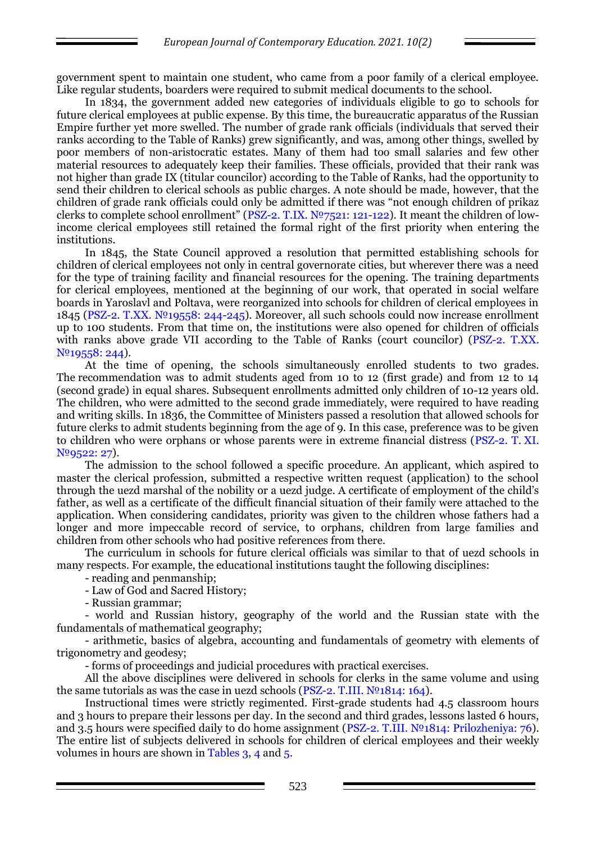government spent to maintain one student, who came from a poor family of a clerical employee. Like regular students, boarders were required to submit medical documents to the school.

In 1834, the government added new categories of individuals eligible to go to schools for future clerical employees at public expense. By this time, the bureaucratic apparatus of the Russian Empire further yet more swelled. The number of grade rank officials (individuals that served their ranks according to the Table of Ranks) grew significantly, and was, among other things, swelled by poor members of non-aristocratic estates. Many of them had too small salaries and few other material resources to adequately keep their families. These officials, provided that their rank was not higher than grade IX (titular councilor) according to the Table of Ranks, had the opportunity to send their children to clerical schools as public charges. A note should be made, however, that the children of grade rank officials could only be admitted if there was "not enough children of prikaz clerks to complete school enrollment" (PSZ-2. Т.IХ. №7521: 121-122). It meant the children of lowincome clerical employees still retained the formal right of the first priority when entering the institutions.

In 1845, the State Council approved a resolution that permitted establishing schools for children of clerical employees not only in central governorate cities, but wherever there was a need for the type of training facility and financial resources for the opening. The training departments for clerical employees, mentioned at the beginning of our work, that operated in social welfare boards in Yaroslavl and Poltava, were reorganized into schools for children of clerical employees in 1845 (PSZ-2. Т.ХХ. №19558: 244-245). Moreover, all such schools could now increase enrollment up to 100 students. From that time on, the institutions were also opened for children of officials with ranks above grade VII according to the Table of Ranks (court councilor) (PSZ-2. T.XX. N<sup>o</sup><sub>1955</sub>8: 244).

At the time of opening, the schools simultaneously enrolled students to two grades. The recommendation was to admit students aged from 10 to 12 (first grade) and from 12 to 14 (second grade) in equal shares. Subsequent enrollments admitted only children of 10-12 years old. The children, who were admitted to the second grade immediately, were required to have reading and writing skills. In 1836, the Committee of Ministers passed a resolution that allowed schools for future clerks to admit students beginning from the age of 9. In this case, preference was to be given to children who were orphans or whose parents were in extreme financial distress (PSZ-2. Т. ХI. №9522: 27).

The admission to the school followed a specific procedure. An applicant, which aspired to master the clerical profession, submitted a respective written request (application) to the school through the uezd marshal of the nobility or a uezd judge. A certificate of employment of the child's father, as well as a certificate of the difficult financial situation of their family were attached to the application. When considering candidates, priority was given to the children whose fathers had a longer and more impeccable record of service, to orphans, children from large families and children from other schools who had positive references from there.

The curriculum in schools for future clerical officials was similar to that of uezd schools in many respects. For example, the educational institutions taught the following disciplines:

- reading and penmanship;

- Law of God and Sacred History;

- Russian grammar;

- world and Russian history, geography of the world and the Russian state with the fundamentals of mathematical geography;

- arithmetic, basics of algebra, accounting and fundamentals of geometry with elements of trigonometry and geodesy;

- forms of proceedings and judicial procedures with practical exercises.

All the above disciplines were delivered in schools for clerks in the same volume and using the same tutorials as was the case in uezd schools (PSZ-2. T.III.  $N<sup>0</sup>1814$ : 164).

Instructional times were strictly regimented. First-grade students had 4.5 classroom hours and 3 hours to prepare their lessons per day. In the second and third grades, lessons lasted 6 hours, and 3.5 hours were specified daily to do home assignment (PSZ-2. Т.III. №1814: Prilozheniya: 76). The entire list of subjects delivered in schools for children of clerical employees and their weekly volumes in hours are shown in Tables 3, 4 and 5.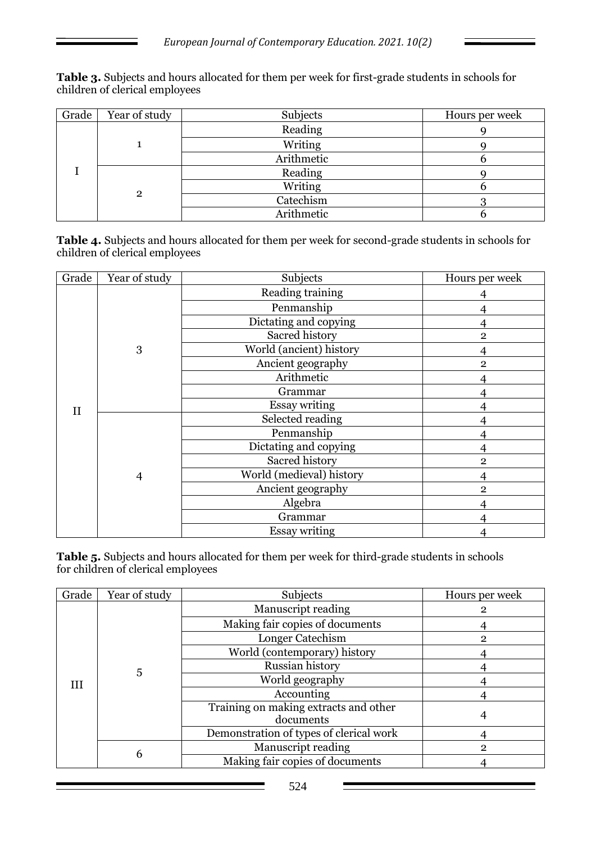**Table 3.** Subjects and hours allocated for them per week for first-grade students in schools for children of clerical employees

| Grade | Year of study | Subjects   | Hours per week |
|-------|---------------|------------|----------------|
|       |               | Reading    |                |
|       |               | Writing    |                |
|       |               | Arithmetic |                |
|       | 2             | Reading    |                |
|       |               | Writing    |                |
|       |               | Catechism  |                |
|       |               | Arithmetic |                |

**Table 4.** Subjects and hours allocated for them per week for second-grade students in schools for children of clerical employees

| Grade       | Year of study  | Subjects                 | Hours per week |
|-------------|----------------|--------------------------|----------------|
| $_{\rm II}$ | 3              | Reading training         |                |
|             |                | Penmanship               | $\overline{4}$ |
|             |                | Dictating and copying    | 4              |
|             |                | Sacred history           | $\overline{2}$ |
|             |                | World (ancient) history  | 4              |
|             |                | Ancient geography        | $\overline{2}$ |
|             |                | Arithmetic               | 4              |
|             |                | Grammar                  | 4              |
|             |                | <b>Essay writing</b>     |                |
|             | $\overline{4}$ | Selected reading         |                |
|             |                | Penmanship               | 4              |
|             |                | Dictating and copying    | 4              |
|             |                | Sacred history           | $\mathbf{2}$   |
|             |                | World (medieval) history | 4              |
|             |                | Ancient geography        | $\overline{2}$ |
|             |                | Algebra                  | 4              |
|             |                | Grammar                  | 4              |
|             |                | <b>Essay writing</b>     | 4              |

**Table 5.** Subjects and hours allocated for them per week for third-grade students in schools for children of clerical employees

| Grade | Year of study | Subjects                                           | Hours per week |
|-------|---------------|----------------------------------------------------|----------------|
| Ш     | 5             | Manuscript reading                                 |                |
|       |               | Making fair copies of documents                    |                |
|       |               | Longer Catechism                                   | 2              |
|       |               | World (contemporary) history                       |                |
|       |               | Russian history                                    |                |
|       |               | World geography                                    |                |
|       |               | Accounting                                         |                |
|       |               | Training on making extracts and other<br>documents |                |
|       |               | Demonstration of types of clerical work            |                |
|       | 6             | Manuscript reading                                 | $\mathbf{2}$   |
|       |               | Making fair copies of documents                    |                |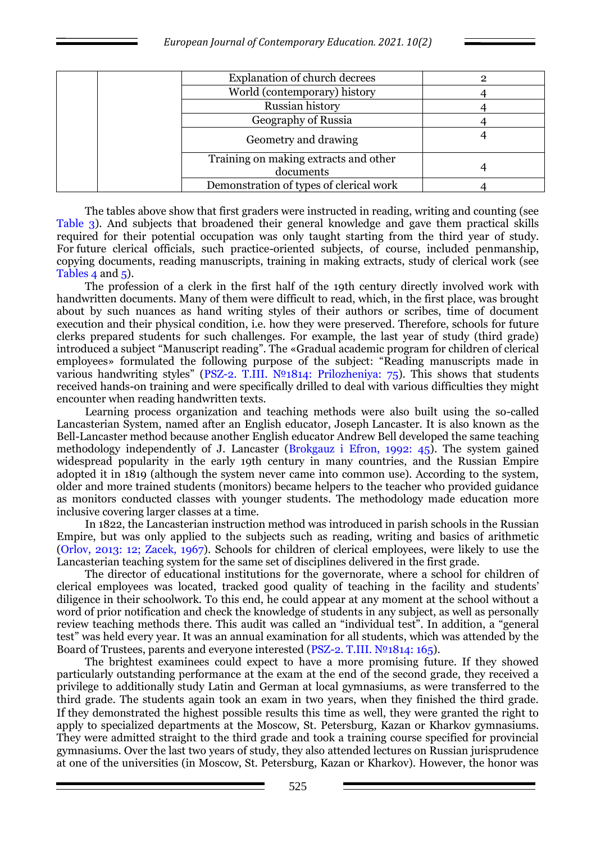| <b>Explanation of church decrees</b>               |  |
|----------------------------------------------------|--|
| World (contemporary) history                       |  |
| Russian history                                    |  |
| Geography of Russia                                |  |
| Geometry and drawing                               |  |
| Training on making extracts and other<br>documents |  |
| Demonstration of types of clerical work            |  |

The tables above show that first graders were instructed in reading, writing and counting (see Table 3). And subjects that broadened their general knowledge and gave them practical skills required for their potential occupation was only taught starting from the third year of study. For future clerical officials, such practice-oriented subjects, of course, included penmanship, copying documents, reading manuscripts, training in making extracts, study of clerical work (see Tables 4 and 5).

The profession of a clerk in the first half of the 19th century directly involved work with handwritten documents. Many of them were difficult to read, which, in the first place, was brought about by such nuances as hand writing styles of their authors or scribes, time of document execution and their physical condition, i.e. how they were preserved. Therefore, schools for future clerks prepared students for such challenges. For example, the last year of study (third grade) introduced a subject "Manuscript reading". The «Gradual academic program for children of clerical employees» formulated the following purpose of the subject: "Reading manuscripts made in various handwriting styles" (PSZ-2. T.III.  $N<sup>0</sup>1814$ : Prilozheniya: 75). This shows that students received hands-on training and were specifically drilled to deal with various difficulties they might encounter when reading handwritten texts.

Learning process organization and teaching methods were also built using the so-called Lancasterian System, named after an English educator, Joseph Lancaster. It is also known as the Bell-Lancaster method because another English educator Andrew Bell developed the same teaching methodology independently of J. Lancaster (Brokgauz i Efron, 1992: 45). The system gained widespread popularity in the early 19th century in many countries, and the Russian Empire adopted it in 1819 (although the system never came into common use). According to the system, older and more trained students (monitors) became helpers to the teacher who provided guidance as monitors conducted classes with younger students. The methodology made education more inclusive covering larger classes at a time.

In 1822, the Lancasterian instruction method was introduced in parish schools in the Russian Empire, but was only applied to the subjects such as reading, writing and basics of arithmetic (Orlov, 2013: 12; Zacek, 1967). Schools for children of clerical employees, were likely to use the Lancasterian teaching system for the same set of disciplines delivered in the first grade.

The director of educational institutions for the governorate, where a school for children of clerical employees was located, tracked good quality of teaching in the facility and students' diligence in their schoolwork. To this end, he could appear at any moment at the school without a word of prior notification and check the knowledge of students in any subject, as well as personally review teaching methods there. This audit was called an "individual test". In addition, a "general test" was held every year. It was an annual examination for all students, which was attended by the Board of Trustees, parents and everyone interested (PSZ-2. Т.III. №1814: 165).

The brightest examinees could expect to have a more promising future. If they showed particularly outstanding performance at the exam at the end of the second grade, they received a privilege to additionally study Latin and German at local gymnasiums, as were transferred to the third grade. The students again took an exam in two years, when they finished the third grade. If they demonstrated the highest possible results this time as well, they were granted the right to apply to specialized departments at the Moscow, St. Petersburg, Kazan or Kharkov gymnasiums. They were admitted straight to the third grade and took a training course specified for provincial gymnasiums. Over the last two years of study, they also attended lectures on Russian jurisprudence at one of the universities (in Moscow, St. Petersburg, Kazan or Kharkov). However, the honor was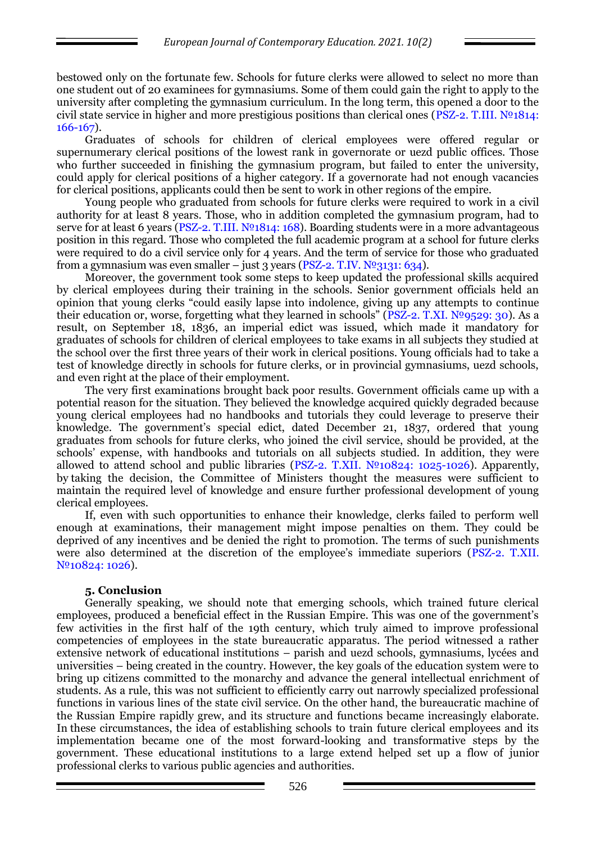bestowed only on the fortunate few. Schools for future clerks were allowed to select no more than one student out of 20 examinees for gymnasiums. Some of them could gain the right to apply to the university after completing the gymnasium curriculum. In the long term, this opened a door to the civil state service in higher and more prestigious positions than clerical ones (PSZ-2. T.III.  $N<sup>0</sup>1814$ : 166-167).

Graduates of schools for children of clerical employees were offered regular or supernumerary clerical positions of the lowest rank in governorate or uezd public offices. Those who further succeeded in finishing the gymnasium program, but failed to enter the university, could apply for clerical positions of a higher category. If a governorate had not enough vacancies for clerical positions, applicants could then be sent to work in other regions of the empire.

Young people who graduated from schools for future clerks were required to work in a civil authority for at least 8 years. Those, who in addition completed the gymnasium program, had to serve for at least 6 years (PSZ-2. T.III. №1814: 168). Boarding students were in a more advantageous position in this regard. Those who completed the full academic program at a school for future clerks were required to do a civil service only for 4 years. And the term of service for those who graduated from a gymnasium was even smaller – just 3 years (PSZ-2. T.IV.  $N^{\circ}3131: 634$ ).

Moreover, the government took some steps to keep updated the professional skills acquired by clerical employees during their training in the schools. Senior government officials held an opinion that young clerks "could easily lapse into indolence, giving up any attempts to continue their education or, worse, forgetting what they learned in schools" (PSZ-2. Т.ХI. №9529: 30). As a result, on September 18, 1836, an imperial edict was issued, which made it mandatory for graduates of schools for children of clerical employees to take exams in all subjects they studied at the school over the first three years of their work in clerical positions. Young officials had to take a test of knowledge directly in schools for future clerks, or in provincial gymnasiums, uezd schools, and even right at the place of their employment.

The very first examinations brought back poor results. Government officials came up with a potential reason for the situation. They believed the knowledge acquired quickly degraded because young clerical employees had no handbooks and tutorials they could leverage to preserve their knowledge. The government's special edict, dated December 21, 1837, ordered that young graduates from schools for future clerks, who joined the civil service, should be provided, at the schools' expense, with handbooks and tutorials on all subjects studied. In addition, they were allowed to attend school and public libraries (PSZ-2. T.XII.  $N<sup>0</sup>10824$ : 1025-1026). Apparently, by taking the decision, the Committee of Ministers thought the measures were sufficient to maintain the required level of knowledge and ensure further professional development of young clerical employees.

If, even with such opportunities to enhance their knowledge, clerks failed to perform well enough at examinations, their management might impose penalties on them. They could be deprived of any incentives and be denied the right to promotion. The terms of such punishments were also determined at the discretion of the employee's immediate superiors (PSZ-2. Т.ХII. №10824: 1026).

#### **5. Conclusion**

Generally speaking, we should note that emerging schools, which trained future clerical employees, produced a beneficial effect in the Russian Empire. This was one of the government's few activities in the first half of the 19th century, which truly aimed to improve professional competencies of employees in the state bureaucratic apparatus. The period witnessed a rather extensive network of educational institutions – parish and uezd schools, gymnasiums, lycées and universities – being created in the country. However, the key goals of the education system were to bring up citizens committed to the monarchy and advance the general intellectual enrichment of students. As a rule, this was not sufficient to efficiently carry out narrowly specialized professional functions in various lines of the state civil service. On the other hand, the bureaucratic machine of the Russian Empire rapidly grew, and its structure and functions became increasingly elaborate. In these circumstances, the idea of establishing schools to train future clerical employees and its implementation became one of the most forward-looking and transformative steps by the government. These educational institutions to a large extend helped set up a flow of junior professional clerks to various public agencies and authorities.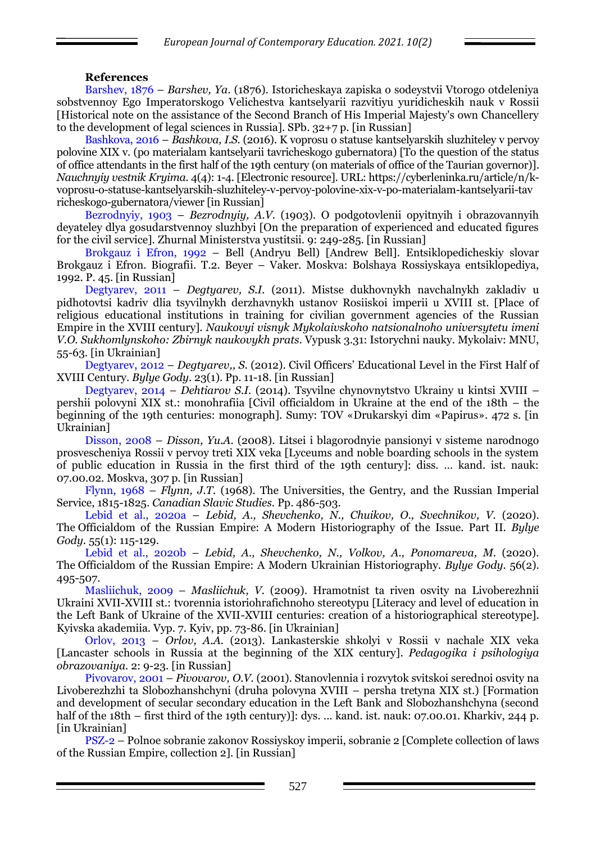### **References**

Barshev, 1876 – *Barshev, Ya.* (1876). Istoricheskaya zapiska o sodeystvii Vtorogo otdeleniya sobstvennoy Ego Imperatorskogo Velichestva kantselyarii razvitiyu yuridicheskih nauk v Rossii [Historical note on the assistance of the Second Branch of His Imperial Majesty's own Chancellery to the development of legal sciences in Russia]. SPb. 32+7 p. [in Russian]

Bashkova, 2016 – *Bashkova, I.S.* (2016). K voprosu o statuse kantselyarskih sluzhiteley v pervoy polovine XIX v. (po materialam kantselyarii tavricheskogo gubernatora) [To the question of the status of office attendants in the first half of the 19th century (on materials of office of the Taurian governor)]. *Nauchnyiy vestnik Kryima.* 4(4): 1-4. [Electronic resource]. URL: https://cyberleninka.ru/article/n/kvoprosu-o-statuse-kantselyarskih-sluzhiteley-v-pervoy-polovine-xix-v-po-materialam-kantselyarii-tav richeskogo-gubernatora/viewer [in Russian]

Bezrodnyiy, 1903 – *Bezrodnyiy, A.V.* (1903). O podgotovlenii opyitnyih i obrazovannyih deyateley dlya gosudarstvennoy sluzhbyi [On the preparation of experienced and educated figures for the civil service]. Zhurnal Ministerstva yustitsii. 9: 249-285. [in Russian]

Brokgauz i Efron, 1992 – Bell (Andryu Bell) [Andrew Bell]. Entsiklopedicheskiy slovar Brokgauz i Efron. Biografii. T.2. Beyer – Vaker. Moskva: Bolshaya Rossiyskaya entsiklopediya, 1992. P. 45. [in Russian]

Degtyarev, 2011 – *Degtyarev, S.I.* (2011). Mistse dukhovnykh navchalnykh zakladiv u pidhotovtsi kadriv dlia tsyvilnykh derzhavnykh ustanov Rosiiskoi imperii u XVIII st. [Place of religious educational institutions in training for civilian government agencies of the Russian Empire in the XVIII century]. *Naukovyi visnyk Mykolaivskoho natsionalnoho universytetu imeni V.O. Sukhomlynskoho: Zbirnyk naukovykh prats*. Vypusk 3.31: Istorychni nauky. Mykolaiv: MNU, 55-63. [in Ukrainian]

Degtyarev, 2012 – *Degtyarev,, S.* (2012). Civil Officers' Educational Level in the First Half of ХVІІІ Century. *Bylye Gody*. 23(1). Рр. 11-18. [in Russian]

Degtyarev, 2014 – *Dehtiarov S.I.* (2014). Tsyvilne chynovnytstvo Ukrainy u kintsi XVIII – pershii polovyni XIX st.: monohrafiia [Civil officialdom in Ukraine at the end of the 18th – the beginning of the 19th centuries: monograph]. Sumy: TOV «Drukarskyi dim «Papirus». 472 s. [in Ukrainian]

Disson, 2008 – *Disson, Yu.A.* (2008). Litsei i blagorodnyie pansionyi v sisteme narodnogo prosvescheniya Rossii v pervoy treti XIX veka [Lyceums and noble boarding schools in the system of public education in Russia in the first third of the 19th century]: diss. … kand. ist. nauk: 07.00.02. Moskva, 307 p. [in Russian]

Flynn, 1968 – *Flynn, J.T.* (1968). The Universities, the Gentry, and the Russian Imperial Service, 1815-1825. *Canadian Slavic Studies.* Pp. 486-503.

Lebid et al., 2020a – *Lebid, А., Shevchenko, N., Chuikov, О., Svechnikov, V.* (2020). The Officialdom of the Russian Empire: A Modern Historiography of the Issue. Part ІI. *Bylye Gody*. 55(1): 115-129.

Lebid et al., 2020b – *Lebid, А., Shevchenko, N., Volkov, A., Ponomareva, M.* (2020). The Officialdom of the Russian Empire: A Modern Ukrainian Historiography. *Bylye Gody*. 56(2). 495-507.

Masliichuk, 2009 – *Masliichuk, V.* (2009). Hramotnist ta riven osvity na Livoberezhnii Ukraini XVII-XVIII st.: tvorennia istoriohrafichnoho stereotypu [Literacy and level of education in the Left Bank of Ukraine of the XVII-XVIII centuries: creation of a historiographical stereotype]. Kyivska akademiia. Vyp. 7. Kyiv, pp. 73-86. [in Ukrainian]

Orlov, 2013 – *Orlov, A.A.* (2013). Lankasterskie shkolyi v Rossii v nachale XIX veka [Lancaster schools in Russia at the beginning of the XIX century]. *Pedagogika i psihologiya obrazovaniya.* 2: 9-23. [in Russian]

Pivovarov, 2001 – *Pivovarov, O.V.* (2001). Stanovlennia i rozvytok svitskoi serednoi osvity na Livoberezhzhi ta Slobozhanshchyni (druha polovyna XVIII – persha tretyna XIX st.) [Formation and development of secular secondary education in the Left Bank and Slobozhanshchyna (second half of the 18th – first third of the 19th century)]: dys. ... kand. ist. nauk: 07.00.01. Kharkiv, 244 p. [in Ukrainian]

PSZ-2 – Polnoe sobranie zakonov Rossiyskoy imperii, sobranie 2 [Complete collection of laws of the Russian Empire, collection 2]. [in Russian]